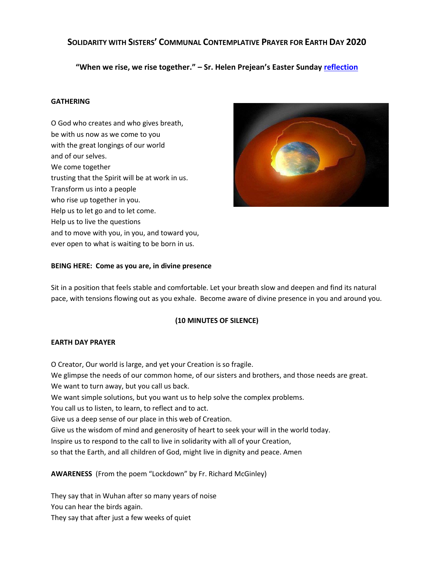# **SOLIDARITY WITH SISTERS' COMMUNAL CONTEMPLATIVE PRAYER FOR EARTH DAY 2020**

**"When we rise, we rise together." – Sr. Helen Prejean's Easter Sunday [reflection](https://www.catholicwomenpreach.org/preaching/04122020)**

## **GATHERING**

O God who creates and who gives breath, be with us now as we come to you with the great longings of our world and of our selves. We come together trusting that the Spirit will be at work in us. Transform us into a people who rise up together in you. Help us to let go and to let come. Help us to live the questions and to move with you, in you, and toward you, ever open to what is waiting to be born in us.



### **BEING HERE: Come as you are, in divine presence**

Sit in a position that feels stable and comfortable. Let your breath slow and deepen and find its natural pace, with tensions flowing out as you exhale. Become aware of divine presence in you and around you.

### **(10 MINUTES OF SILENCE)**

### **EARTH DAY PRAYER**

O Creator, Our world is large, and yet your Creation is so fragile. We glimpse the needs of our common home, of our sisters and brothers, and those needs are great. We want to turn away, but you call us back. We want simple solutions, but you want us to help solve the complex problems. You call us to listen, to learn, to reflect and to act. Give us a deep sense of our place in this web of Creation. Give us the wisdom of mind and generosity of heart to seek your will in the world today. Inspire us to respond to the call to live in solidarity with all of your Creation, so that the Earth, and all children of God, might live in dignity and peace. Amen

# **AWARENESS** (From the poem "Lockdown" by Fr. Richard McGinley)

They say that in Wuhan after so many years of noise You can hear the birds again. They say that after just a few weeks of quiet